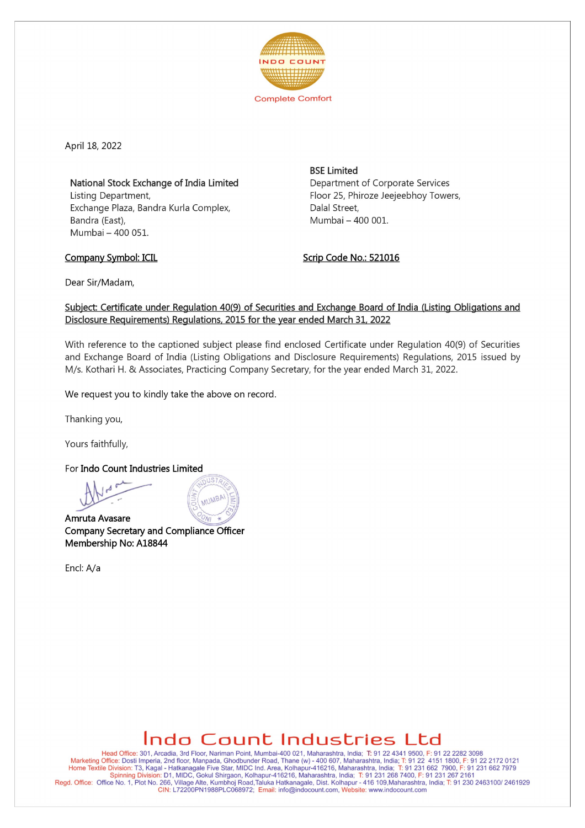

April 18, 2022

National Stock Exchange of India Limited Listing Department, Exchange Plaza, Bandra Kurla Complex, Bandra (East), Mumbai - 400 051.

**BSE Limited** Department of Corporate Services Floor 25, Phiroze Jeejeebhoy Towers, Dalal Street, Mumbai - 400 001.

Company Symbol: ICIL Company Symbol: ICIL

Dear Sir/Madam,

## Subject: Certificate under Regulation 40(9) of Securities and Exchange Board of India (Listing Obligations and Disclosure Requirements) Regulations. 2015 for the year ended March 31. 2022

With reference to the captioned subject please find enclosed Certificate under Regulation 40(9) of Securities and Exchange Board of India (Listing Obligations and Disclosure Requirements) Regulations, 2015 issued by M/s. Kothari H. & Associates, Practicing Company Secretary, for the year ended March 31, 2022.

We request you to kindly take the above on record.

ABMUM

Thanking you,

Yours faithfully,

For Indo Count Industries Limited

Amruta Avasare **Company Secretary and Compliance Officer** Membership No: A18844

Encl:A/a

## **Indo Count Industries Ltd**

Head Office: 301, Arcadia, 3rd Floor, Nariman Point, Mumbai-400 021, Maharashtra, India; T: 91 224341 9500, F: 91 2222823098 Marketing Office: Dosti Imperia, 2nd floor, Manpada, Ghodbunder Road, Thane (w) - 400 607, Maharashtra, India; 1: 91 22 4151 1800, F: 91 22 2172 0121<br>Home Textile Division: T3, Kagal - Hatkanagale Five Star, MIDC Ind. Area